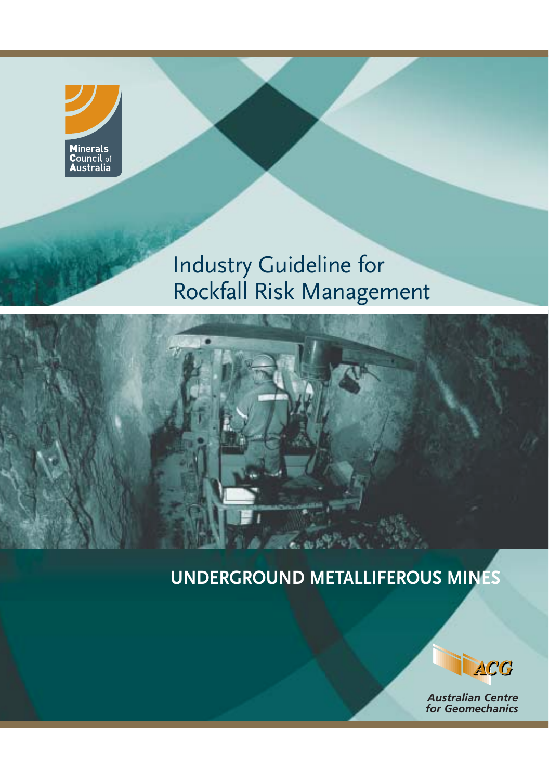

# Industry Guideline for Rockfall Risk Management

# **UNDERGROUND METALLIFEROUS MINES**



*Australian Centre for Geomechanics*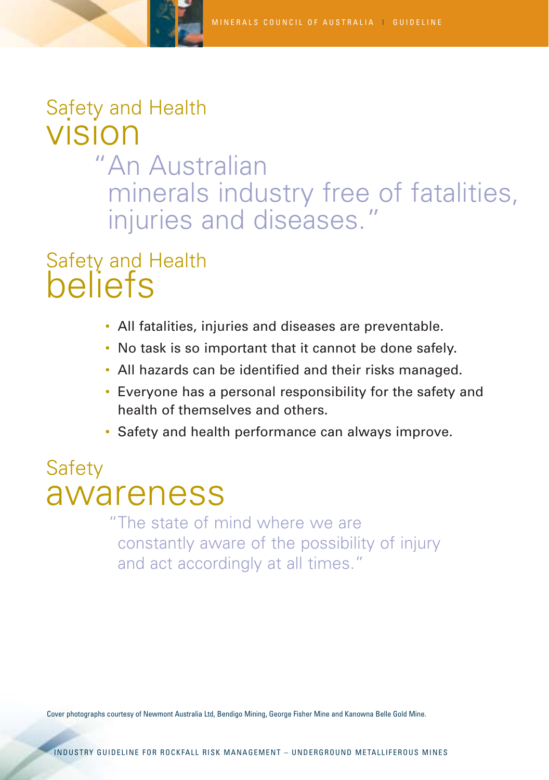# Safety and Health vision "An Australian minerals industry free of fatalities, injuries and diseases."

# Safety and Health beliefs

- All fatalities, injuries and diseases are preventable.
- No task is so important that it cannot be done safely.
- All hazards can be identified and their risks managed.
- Everyone has a personal responsibility for the safety and health of themselves and others.
- Safety and health performance can always improve.

# **Safety** awareness

"The state of mind where we are constantly aware of the possibility of injury and act accordingly at all times."

Cover photographs courtesy of Newmont Australia Ltd, Bendigo Mining, George Fisher Mine and Kanowna Belle Gold Mine.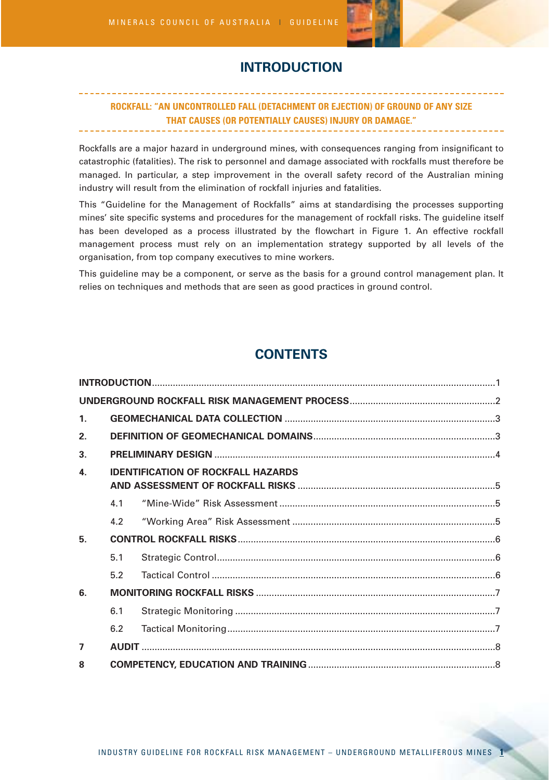

# **INTRODUCTION**

## **ROCKFALL: "AN UNCONTROLLED FALL (DETACHMENT OR EJECTION) OF GROUND OF ANY SIZE THAT CAUSES (OR POTENTIALLY CAUSES) INJURY OR DAMAGE."**

Rockfalls are a major hazard in underground mines, with consequences ranging from insignificant to catastrophic (fatalities). The risk to personnel and damage associated with rockfalls must therefore be managed. In particular, a step improvement in the overall safety record of the Australian mining industry will result from the elimination of rockfall injuries and fatalities.

This "Guideline for the Management of Rockfalls" aims at standardising the processes supporting mines' site specific systems and procedures for the management of rockfall risks. The guideline itself has been developed as a process illustrated by the flowchart in Figure 1. An effective rockfall management process must rely on an implementation strategy supported by all levels of the organisation, from top company executives to mine workers.

This guideline may be a component, or serve as the basis for a ground control management plan. It relies on techniques and methods that are seen as good practices in ground control.

# **CONTENTS**

| 1 <sub>1</sub> |     |                                           |  |
|----------------|-----|-------------------------------------------|--|
| 2.             |     |                                           |  |
| 3.             |     |                                           |  |
| $\mathbf{4}$   |     | <b>IDENTIFICATION OF ROCKFALL HAZARDS</b> |  |
|                | 4.1 |                                           |  |
|                | 4.2 |                                           |  |
| 5.             |     |                                           |  |
|                | 5.1 |                                           |  |
|                | 5.2 |                                           |  |
| 6.             |     |                                           |  |
|                | 6.1 |                                           |  |
|                | 6.2 |                                           |  |
| $\overline{7}$ |     |                                           |  |
| 8              |     |                                           |  |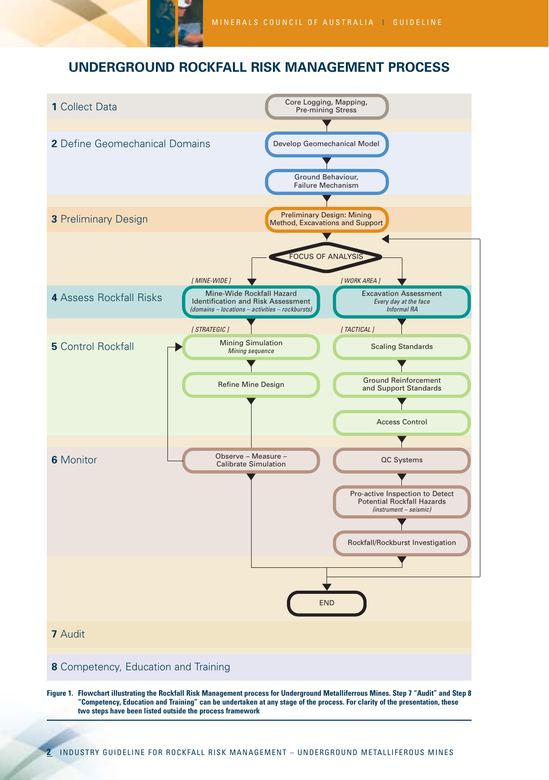

# **UNDERGROUND ROCKFALL RISK MANAGEMENT PROCESS**



**Figure 1. Flowchart illustrating the Rockfall Risk Management process for Underground Metalliferrous Mines. Step 7 "Audit" and Step 8 "Competency, Education and Training" can be undertaken at any stage of the process. For clarity of the presentation, these two steps have been listed outside the process framework**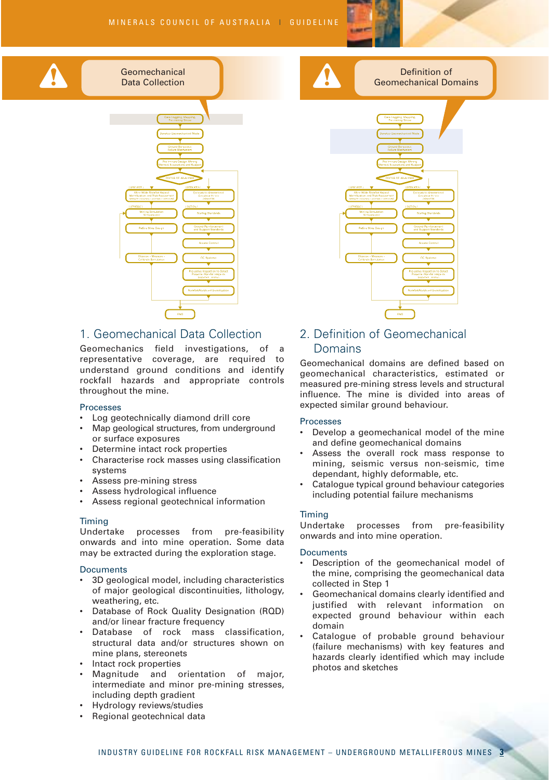#### MINERALS COUNCIL OF AUSTRALIA | GUIDELINE







# 1. Geomechanical Data Collection

**Geomechanical** Data Collection

Geomechanics field investigations, of a representative coverage, are required to understand ground conditions and identify rockfall hazards and appropriate controls throughout the mine.

#### Processes

- Log geotechnically diamond drill core
- Map geological structures, from underground or surface exposures
- Determine intact rock properties
- Characterise rock masses using classification systems
- Assess pre-mining stress
- Assess hydrological influence
- Assess regional geotechnical information

#### Timing

Undertake processes from pre-feasibility onwards and into mine operation. Some data may be extracted during the exploration stage.

#### **Documents**

- 3D geological model, including characteristics of major geological discontinuities, lithology, weathering, etc.
- Database of Rock Quality Designation (RQD) and/or linear fracture frequency
- Database of rock mass classification, structural data and/or structures shown on mine plans, stereonets
- Intact rock properties
- Magnitude and orientation of major, intermediate and minor pre-mining stresses, including depth gradient
- Hydrology reviews/studies
- Regional geotechnical data

# 2. Definition of Geomechanical Domains

Geomechanical domains are defined based on geomechanical characteristics, estimated or measured pre-mining stress levels and structural influence. The mine is divided into areas of expected similar ground behaviour.

#### Processes

- Develop a geomechanical model of the mine and define geomechanical domains
- Assess the overall rock mass response to mining, seismic versus non-seismic, time dependant, highly deformable, etc.
- Catalogue typical ground behaviour categories including potential failure mechanisms

Timing<br>Undertake processes from pre-feasibility onwards and into mine operation.

- Description of the geomechanical model of the mine, comprising the geomechanical data collected in Step 1
- Geomechanical domains clearly identified and justified with relevant information on expected ground behaviour within each domain
- Catalogue of probable ground behaviour (failure mechanisms) with key features and hazards clearly identified which may include photos and sketches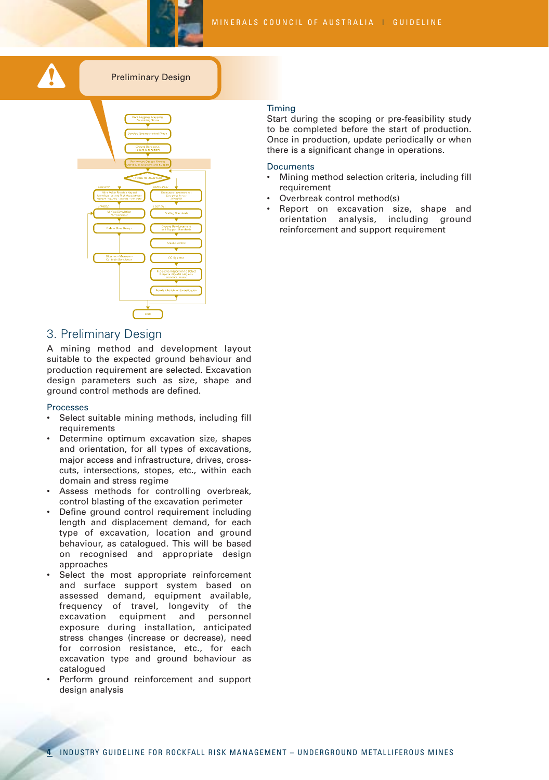



### Preliminary Design



### 3. Preliminary Design

A mining method and development layout suitable to the expected ground behaviour and production requirement are selected. Excavation design parameters such as size, shape and ground control methods are defined.

#### Processes

- Select suitable mining methods, including fill requirements
- Determine optimum excavation size, shapes and orientation, for all types of excavations, major access and infrastructure, drives, crosscuts, intersections, stopes, etc., within each domain and stress regime
- Assess methods for controlling overbreak, control blasting of the excavation perimeter
- Define ground control requirement including length and displacement demand, for each type of excavation, location and ground behaviour, as catalogued. This will be based on recognised and appropriate design approaches
- Select the most appropriate reinforcement and surface support system based on assessed demand, equipment available, frequency of travel, longevity of the excavation equipment and personnel exposure during installation, anticipated stress changes (increase or decrease), need for corrosion resistance, etc., for each excavation type and ground behaviour as catalogued
- Perform ground reinforcement and support design analysis

#### Timing

Start during the scoping or pre-feasibility study to be completed before the start of production. Once in production, update periodically or when there is a significant change in operations.

- Mining method selection criteria, including fill requirement
- Overbreak control method(s)
- Report on excavation size, shape and orientation analysis, including ground reinforcement and support requirement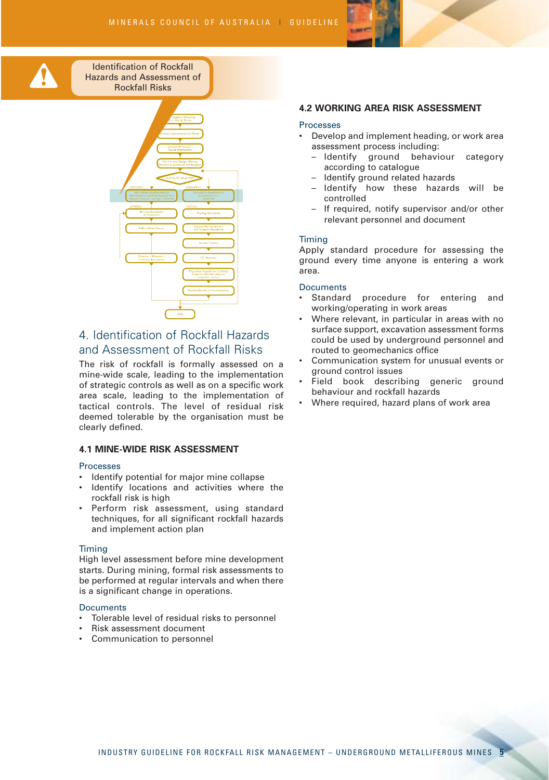

Identification of Rockfall Hazards and Assessment of nRockfall Risks



# 4. Identification of Rockfall Hazards and Assessment of Rockfall Risks

The risk of rockfall is formally assessed on a mine-wide scale, leading to the implementation of strategic controls as well as on a specific work area scale, leading to the implementation of tactical controls. The level of residual risk deemed tolerable by the organisation must be clearly defined.

### **4.1 MINE-WIDE RISK ASSESSMENT**

#### Processes

- Identify potential for major mine collapse
- Identify locations and activities where the rockfall risk is high
- Perform risk assessment, using standard techniques, for all significant rockfall hazards and implement action plan

#### Timing

High level assessment before mine development starts. During mining, formal risk assessments to be performed at regular intervals and when there is a significant change in operations.

#### **Documents**

- Tolerable level of residual risks to personnel
- Risk assessment document
- Communication to personnel

### **4.2 WORKING AREA RISK ASSESSMENT**

#### **Processes**

- Develop and implement heading, or work area assessment process including:
	- Identify ground behaviour category according to catalogue
	- ldentify ground related hazards
	- Identify how these hazards will be controlled
	- If required, notify supervisor and/or other relevant personnel and document

#### Timing

Apply standard procedure for assessing the ground every time anyone is entering a work area.

- Standard procedure for entering and working/operating in work areas
- Where relevant, in particular in areas with no surface support, excavation assessment forms could be used by underground personnel and routed to geomechanics office
- Communication system for unusual events or ground control issues
- Field book describing generic ground behaviour and rockfall hazards
- Where required, hazard plans of work area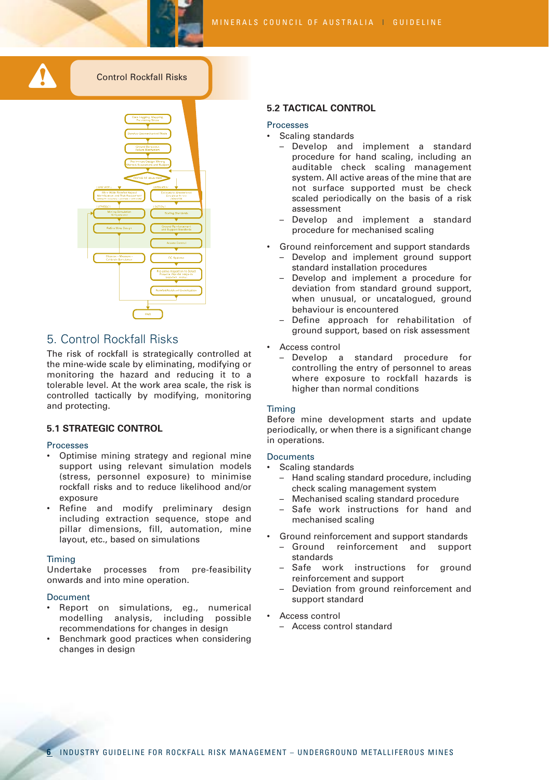



#### Processes

• Scaling standards

**5.2 TACTICAL CONTROL** 

- Develop and implement a standard procedure for hand scaling, including an auditable check scaling management system. All active areas of the mine that are not surface supported must be check scaled periodically on the basis of a risk assessment
- Develop and implement a standard procedure for mechanised scaling
- Ground reinforcement and support standards
	- Develop and implement ground support standard installation procedures
	- Develop and implement a procedure for deviation from standard ground support, when unusual, or uncatalogued, ground behaviour is encountered
	- Define approach for rehabilitation of ground support, based on risk assessment
- Access control
	- Develop a standard procedure for controlling the entry of personnel to areas where exposure to rockfall hazards is higher than normal conditions

#### Timing

Before mine development starts and update periodically, or when there is a significant change in operations.

#### **Documents**

- Scaling standards
	- Hand scaling standard procedure, including check scaling management system
	- Mechanised scaling standard procedure
	- Safe work instructions for hand and mechanised scaling
	- Ground reinforcement and support standards
	- Ground reinforcement and support standards
	- Safe work instructions for ground reinforcement and support
	- Deviation from ground reinforcement and support standard
	- Access control
	- Access control standard

## 5. Control Rockfall Risks

The risk of rockfall is strategically controlled at the mine-wide scale by eliminating, modifying or monitoring the hazard and reducing it to a tolerable level. At the work area scale, the risk is controlled tactically by modifying, monitoring and protecting.

### **5.1 STRATEGIC CONTROL**

#### Processes

- Optimise mining strategy and regional mine support using relevant simulation models (stress, personnel exposure) to minimise rockfall risks and to reduce likelihood and/or exposure
- Refine and modify preliminary design including extraction sequence, stope and pillar dimensions, fill, automation, mine layout, etc., based on simulations

#### Timing

Undertake processes from pre-feasibility onwards and into mine operation.

- Report on simulations, eg., numerical modelling analysis, including possible recommendations for changes in design
- Benchmark good practices when considering changes in design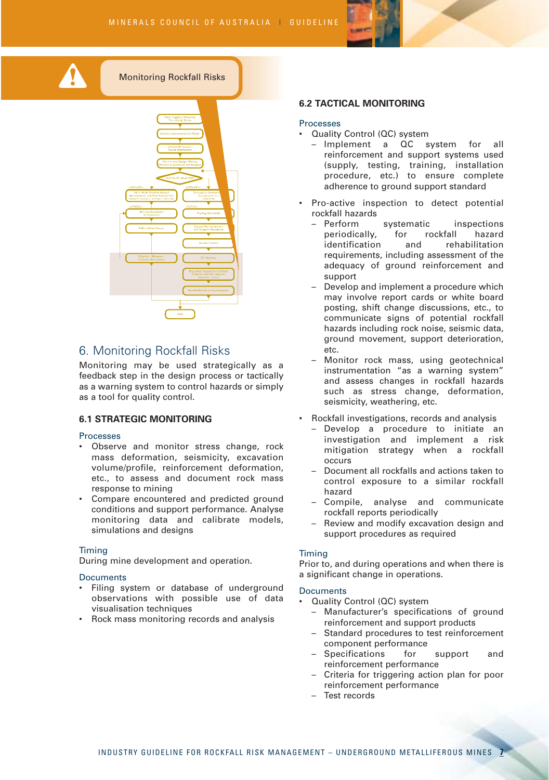

Monitoring Rockfall Risks



# 6. Monitoring Rockfall Risks

Monitoring may be used strategically as a feedback step in the design process or tactically as a warning system to control hazards or simply as a tool for quality control.

### **6.1 STRATEGIC MONITORING**

#### Processes

- Observe and monitor stress change, rock mass deformation, seismicity, excavation volume/profile, reinforcement deformation, etc., to assess and document rock mass response to mining
- Compare encountered and predicted ground conditions and support performance. Analyse monitoring data and calibrate models, simulations and designs

#### Timing

During mine development and operation.

#### **Documents**

- Filing system or database of underground observations with possible use of data visualisation techniques
- Rock mass monitoring records and analysis

#### **6.2 TACTICAL MONITORING**

#### **Processes**

- Quality Control (QC) system
	- Implement a QC system for all reinforcement and support systems used (supply, testing, training, installation procedure, etc.) to ensure complete adherence to ground support standard
- Pro-active inspection to detect potential rockfall hazards
	- Perform systematic inspections periodically, for rockfall hazard identification and rehabilitation requirements, including assessment of the adequacy of ground reinforcement and support
	- Develop and implement a procedure which may involve report cards or white board posting, shift change discussions, etc., to communicate signs of potential rockfall hazards including rock noise, seismic data, ground movement, support deterioration, etc.
	- Monitor rock mass, using geotechnical instrumentation "as a warning system" and assess changes in rockfall hazards such as stress change, deformation, seismicity, weathering, etc.
- Rockfall investigations, records and analysis
	- Develop a procedure to initiate an investigation and implement a risk mitigation strategy when a rockfall occurs
	- Document all rockfalls and actions taken to control exposure to a similar rockfall hazard
	- Compile, analyse and communicate rockfall reports periodically
	- Review and modify excavation design and support procedures as required

#### Timing

Prior to, and during operations and when there is a significant change in operations.

- Quality Control (QC) system
	- Manufacturer's specifications of ground reinforcement and support products
	- Standard procedures to test reinforcement component performance
	- Specifications for support and reinforcement performance
	- Criteria for triggering action plan for poor reinforcement performance
	- Test records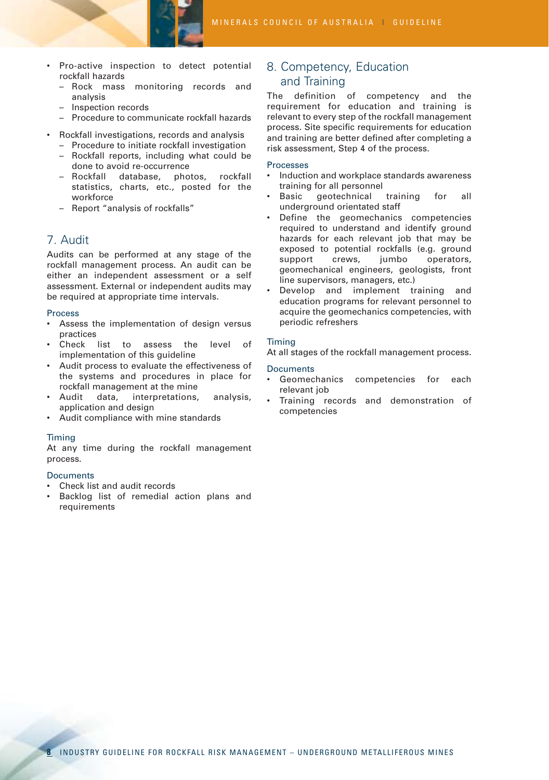

- Pro-active inspection to detect potential rockfall hazards
	- Rock mass monitoring records and analysis
	- Inspection records
	- Procedure to communicate rockfall hazards
- Rockfall investigations, records and analysis
	- Procedure to initiate rockfall investigation
	- Rockfall reports, including what could be done to avoid re-occurrence
	- Rockfall database, photos, rockfall statistics, charts, etc., posted for the workforce
	- Report "analysis of rockfalls"

# 7. Audit

Audits can be performed at any stage of the rockfall management process. An audit can be either an independent assessment or a self assessment. External or independent audits may be required at appropriate time intervals.

#### Process

- Assess the implementation of design versus practices
- Check list to assess the level of implementation of this guideline
- Audit process to evaluate the effectiveness of the systems and procedures in place for rockfall management at the mine
- Audit data, interpretations, analysis, application and design
- Audit compliance with mine standards

#### Timing

At any time during the rockfall management process.

#### **Documents**

- Check list and audit records
- Backlog list of remedial action plans and requirements

# 8. Competency, Education and Training

The definition of competency and the requirement for education and training is relevant to every step of the rockfall management process. Site specific requirements for education and training are better defined after completing a risk assessment, Step 4 of the process.

#### Processes

- Induction and workplace standards awareness training for all personnel
- Basic geotechnical training for all underground orientated staff
- Define the geomechanics competencies required to understand and identify ground hazards for each relevant job that may be exposed to potential rockfalls (e.g. ground support crews, jumbo operators, geomechanical engineers, geologists, front line supervisors, managers, etc.)
- Develop and implement training and education programs for relevant personnel to acquire the geomechanics competencies, with periodic refreshers

#### Timing

At all stages of the rockfall management process.

- Geomechanics competencies for each relevant job
- Training records and demonstration of competencies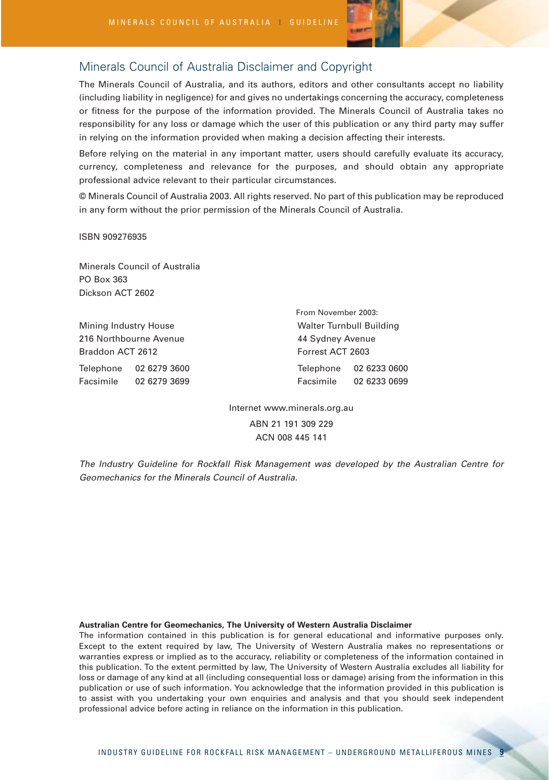

# Minerals Council of Australia Disclaimer and Copyright

The Minerals Council of Australia, and its authors, editors and other consultants accept no liability (including liability in negligence) for and gives no undertakings concerning the accuracy, completeness or fitness for the purpose of the information provided. The Minerals Council of Australia takes no responsibility for any loss or damage which the user of this publication or any third party may suffer in relying on the information provided when making a decision affecting their interests.

Before relying on the material in any important matter, users should carefully evaluate its accuracy, currency, completeness and relevance for the purposes, and should obtain any appropriate professional advice relevant to their particular circumstances.

© Minerals Council of Australia 2003. All rights reserved. No part of this publication may be reproduced in any form without the prior permission of the Minerals Council of Australia.

ISBN 909276935

Minerals Council of Australia PO Box 363 Dickson ACT 2602

Mining Industry House Mining Industry House Mining Industry House Muslim Building 216 Northbourne Avenue **44 Sydney Avenue** Braddon ACT 2612 Forrest ACT 2603

Telephone 02 6279 3600 Telephone 02 6233 0600 Facsimile 02 6279 3699 Facsimile 02 6233 0699 From November 2003:

> Internet www.minerals.org.au ABN 21 191 309 229 ACN 008 445 141

*The Industry Guideline for Rockfall Risk Management was developed by the Australian Centre for Geomechanics for the Minerals Council of Australia.*

#### **Australian Centre for Geomechanics, The University of Western Australia Disclaimer**

The information contained in this publication is for general educational and informative purposes only. Except to the extent required by law, The University of Western Australia makes no representations or warranties express or implied as to the accuracy, reliability or completeness of the information contained in this publication. To the extent permitted by law, The University of Western Australia excludes all liability for loss or damage of any kind at all (including consequential loss or damage) arising from the information in this publication or use of such information. You acknowledge that the information provided in this publication is to assist with you undertaking your own enquiries and analysis and that you should seek independent professional advice before acting in reliance on the information in this publication.